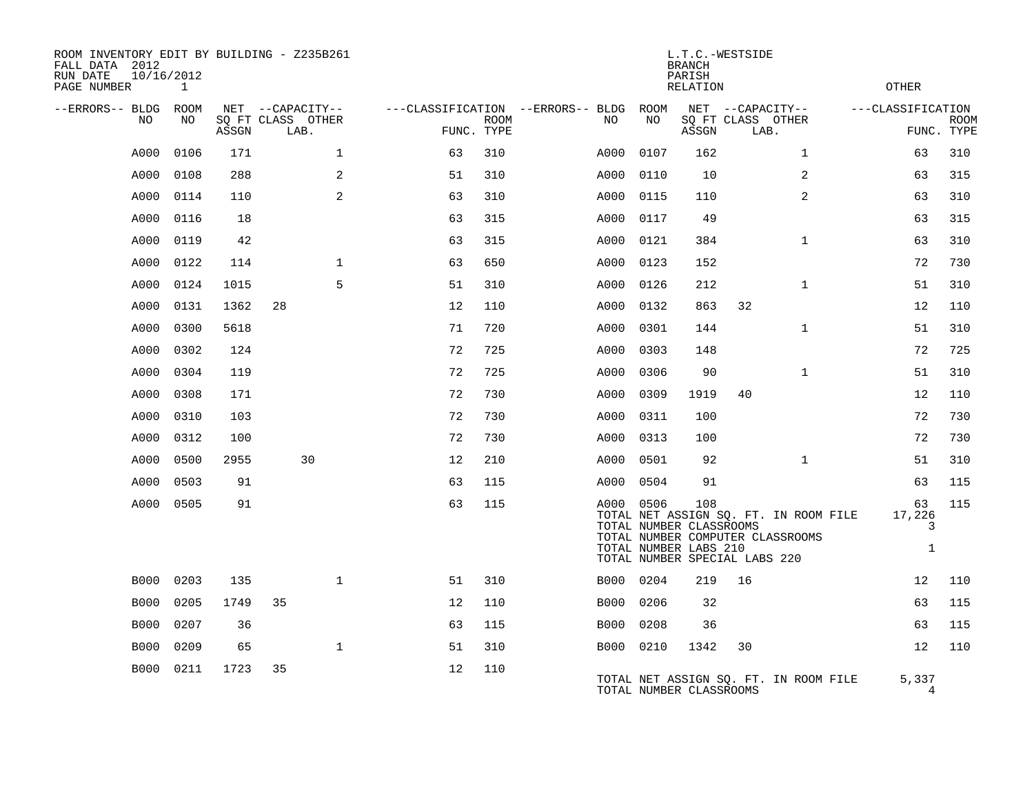| ROOM INVENTORY EDIT BY BUILDING - Z235B261<br>FALL DATA 2012<br>RUN DATE<br>10/16/2012<br>PAGE NUMBER |      |       |                           | L.T.C.-WESTSIDE<br><b>BRANCH</b><br>PARISH<br><b>RELATION</b> |             |                                          |            |                                                                                          |    | <b>OTHER</b>                                                              |  |                                   |             |
|-------------------------------------------------------------------------------------------------------|------|-------|---------------------------|---------------------------------------------------------------|-------------|------------------------------------------|------------|------------------------------------------------------------------------------------------|----|---------------------------------------------------------------------------|--|-----------------------------------|-------------|
| --ERRORS-- BLDG ROOM<br>NO.                                                                           | NO.  |       | NET --CAPACITY--          |                                                               | <b>ROOM</b> | ---CLASSIFICATION --ERRORS-- BLDG<br>NO. | ROOM<br>NO |                                                                                          |    | NET --CAPACITY--<br>SQ FT CLASS OTHER                                     |  | ---CLASSIFICATION                 | <b>ROOM</b> |
|                                                                                                       |      | ASSGN | SQ FT CLASS OTHER<br>LAB. | FUNC. TYPE                                                    |             |                                          |            | ASSGN                                                                                    |    | LAB.                                                                      |  | FUNC. TYPE                        |             |
| A000                                                                                                  | 0106 | 171   | $\mathbf{1}$              | 63                                                            | 310         | A000                                     | 0107       | 162                                                                                      |    | $\mathbf{1}$                                                              |  | 63                                | 310         |
| A000                                                                                                  | 0108 | 288   | 2                         | 51                                                            | 310         | A000                                     | 0110       | 10                                                                                       |    | 2                                                                         |  | 63                                | 315         |
| A000                                                                                                  | 0114 | 110   | 2                         | 63                                                            | 310         | A000                                     | 0115       | 110                                                                                      |    | 2                                                                         |  | 63                                | 310         |
| A000                                                                                                  | 0116 | 18    |                           | 63                                                            | 315         | A000                                     | 0117       | 49                                                                                       |    |                                                                           |  | 63                                | 315         |
| A000                                                                                                  | 0119 | 42    |                           | 63                                                            | 315         | A000                                     | 0121       | 384                                                                                      |    | $\mathbf{1}$                                                              |  | 63                                | 310         |
| A000                                                                                                  | 0122 | 114   | $\mathbf{1}$              | 63                                                            | 650         | A000                                     | 0123       | 152                                                                                      |    |                                                                           |  | 72                                | 730         |
| A000                                                                                                  | 0124 | 1015  | 5                         | 51                                                            | 310         | A000                                     | 0126       | 212                                                                                      |    | $\mathbf{1}$                                                              |  | 51                                | 310         |
| A000                                                                                                  | 0131 | 1362  | 28                        | 12                                                            | 110         | A000                                     | 0132       | 863                                                                                      | 32 |                                                                           |  | 12                                | 110         |
| A000                                                                                                  | 0300 | 5618  |                           | 71                                                            | 720         | A000                                     | 0301       | 144                                                                                      |    | $\mathbf{1}$                                                              |  | 51                                | 310         |
| A000                                                                                                  | 0302 | 124   |                           | 72                                                            | 725         | A000                                     | 0303       | 148                                                                                      |    |                                                                           |  | 72                                | 725         |
| A000                                                                                                  | 0304 | 119   |                           | 72                                                            | 725         | A000                                     | 0306       | 90                                                                                       |    | $\mathbf{1}$                                                              |  | 51                                | 310         |
| A000                                                                                                  | 0308 | 171   |                           | 72                                                            | 730         | A000                                     | 0309       | 1919                                                                                     | 40 |                                                                           |  | 12                                | 110         |
| A000                                                                                                  | 0310 | 103   |                           | 72                                                            | 730         | A000                                     | 0311       | 100                                                                                      |    |                                                                           |  | 72                                | 730         |
| A000                                                                                                  | 0312 | 100   |                           | 72                                                            | 730         | A000                                     | 0313       | 100                                                                                      |    |                                                                           |  | 72                                | 730         |
| A000                                                                                                  | 0500 | 2955  | 30                        | 12                                                            | 210         | A000                                     | 0501       | 92                                                                                       |    | $\mathbf{1}$                                                              |  | 51                                | 310         |
| A000                                                                                                  | 0503 | 91    |                           | 63                                                            | 115         | A000                                     | 0504       | 91                                                                                       |    |                                                                           |  | 63                                | 115         |
| A000                                                                                                  | 0505 | 91    |                           | 63                                                            | 115         |                                          | A000 0506  | 108<br>TOTAL NUMBER CLASSROOMS<br>TOTAL NUMBER LABS 210<br>TOTAL NUMBER SPECIAL LABS 220 |    | TOTAL NET ASSIGN SQ. FT. IN ROOM FILE<br>TOTAL NUMBER COMPUTER CLASSROOMS |  | 63<br>17,226<br>3<br>$\mathbf{1}$ | 115         |
| <b>B000</b>                                                                                           | 0203 | 135   | $\mathbf{1}$              | 51                                                            | 310         | B000                                     | 0204       | 219                                                                                      | 16 |                                                                           |  | 12                                | 110         |
| <b>B000</b>                                                                                           | 0205 | 1749  | 35                        | 12                                                            | 110         | B000                                     | 0206       | 32                                                                                       |    |                                                                           |  | 63                                | 115         |
| <b>B000</b>                                                                                           | 0207 | 36    |                           | 63                                                            | 115         | B000                                     | 0208       | 36                                                                                       |    |                                                                           |  | 63                                | 115         |
| <b>B000</b>                                                                                           | 0209 | 65    | $\mathbf 1$               | 51                                                            | 310         |                                          | B000 0210  | 1342                                                                                     | 30 |                                                                           |  | 12                                | 110         |
| <b>B000</b>                                                                                           | 0211 | 1723  | 35                        | 12                                                            | 110         |                                          |            | TOTAL NUMBER CLASSROOMS                                                                  |    | TOTAL NET ASSIGN SQ. FT. IN ROOM FILE                                     |  | 5,337<br>4                        |             |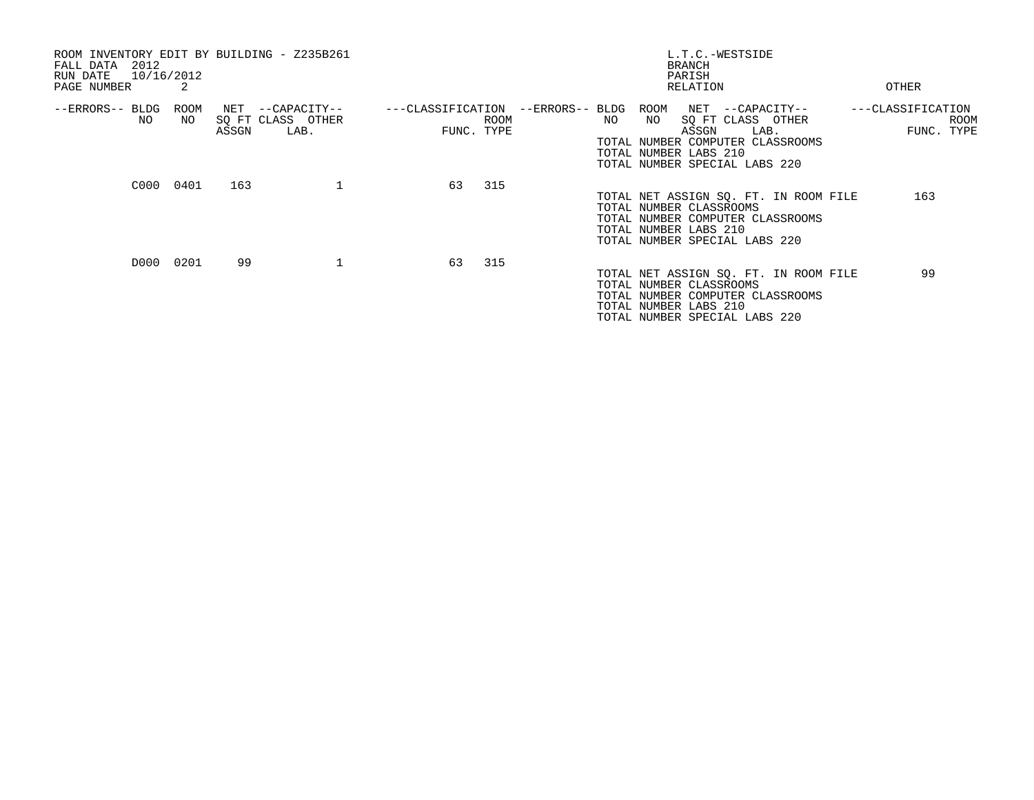| ROOM INVENTORY EDIT BY BUILDING - Z235B261<br>2012<br>FALL DATA<br>10/16/2012<br>RUN DATE<br>PAGE NUMBER | 2           |              |                                           |                                 |      |                 |     |            | L.T.C.-WESTSIDE<br><b>BRANCH</b><br>PARISH<br>RELATION                                                                                                         | OTHER             |     |                    |
|----------------------------------------------------------------------------------------------------------|-------------|--------------|-------------------------------------------|---------------------------------|------|-----------------|-----|------------|----------------------------------------------------------------------------------------------------------------------------------------------------------------|-------------------|-----|--------------------|
| --ERRORS-- BLDG<br>NO                                                                                    | ROOM<br>NO. | NET<br>ASSGN | --CAPACITY--<br>SQ FT CLASS OTHER<br>LAB. | ---CLASSIFICATION<br>FUNC. TYPE | ROOM | --ERRORS-- BLDG | NO. | ROOM<br>NO | NET --CAPACITY--<br>SQ FT CLASS OTHER<br>ASSGN<br>LAB.<br>TOTAL NUMBER COMPUTER CLASSROOMS<br>TOTAL NUMBER LABS 210<br>TOTAL NUMBER SPECIAL LABS 220           | ---CLASSIFICATION |     | ROOM<br>FUNC. TYPE |
|                                                                                                          | C000 0401   | 163          |                                           | 63                              | 315  |                 |     |            | TOTAL NET ASSIGN SQ. FT. IN ROOM FILE<br>TOTAL NUMBER CLASSROOMS<br>TOTAL NUMBER COMPUTER CLASSROOMS<br>TOTAL NUMBER LABS 210<br>TOTAL NUMBER SPECIAL LABS 220 |                   | 163 |                    |
|                                                                                                          | D000 0201   | 99           | 1                                         | 63                              | 315  |                 |     |            | TOTAL NET ASSIGN SQ. FT. IN ROOM FILE<br>TOTAL NUMBER CLASSROOMS<br>TOTAL NUMBER COMPUTER CLASSROOMS<br>TOTAL NUMBER LABS 210<br>TOTAL NUMBER SPECIAL LABS 220 |                   | 99  |                    |